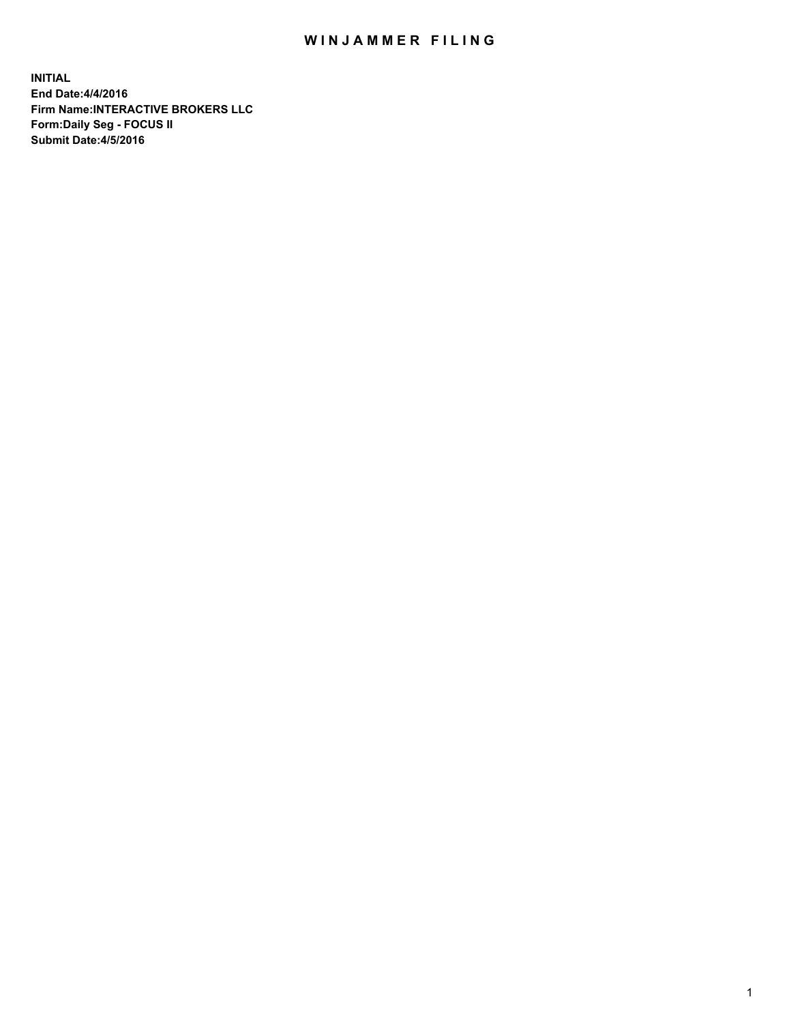## WIN JAMMER FILING

**INITIAL End Date:4/4/2016 Firm Name:INTERACTIVE BROKERS LLC Form:Daily Seg - FOCUS II Submit Date:4/5/2016**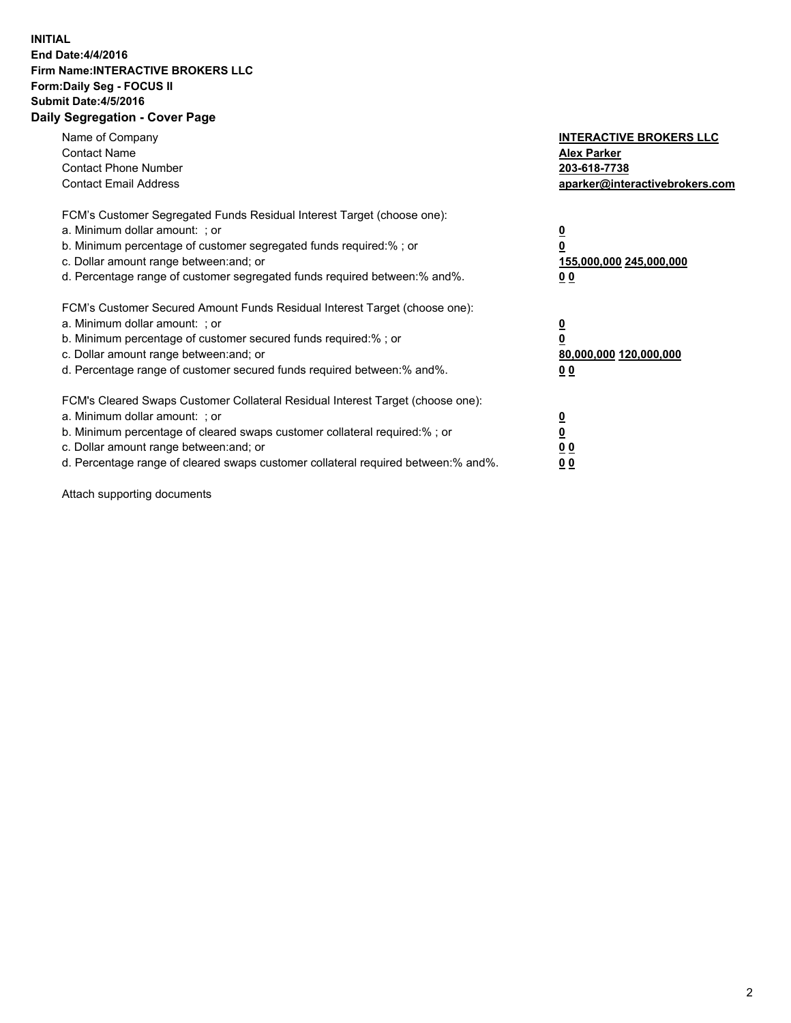## **INITIAL End Date:4/4/2016 Firm Name:INTERACTIVE BROKERS LLC Form:Daily Seg - FOCUS II Submit Date:4/5/2016 Daily Segregation - Cover Page**

| Name of Company<br><b>Contact Name</b><br><b>Contact Phone Number</b><br><b>Contact Email Address</b>                                                                                                                                                                                                                          | <b>INTERACTIVE BROKERS LLC</b><br><b>Alex Parker</b><br>203-618-7738<br>aparker@interactivebrokers.com |
|--------------------------------------------------------------------------------------------------------------------------------------------------------------------------------------------------------------------------------------------------------------------------------------------------------------------------------|--------------------------------------------------------------------------------------------------------|
| FCM's Customer Segregated Funds Residual Interest Target (choose one):<br>a. Minimum dollar amount: ; or<br>b. Minimum percentage of customer segregated funds required:%; or<br>c. Dollar amount range between: and; or<br>d. Percentage range of customer segregated funds required between:% and%.                          | <u>0</u><br>155,000,000 245,000,000<br><u>00</u>                                                       |
| FCM's Customer Secured Amount Funds Residual Interest Target (choose one):<br>a. Minimum dollar amount: ; or<br>b. Minimum percentage of customer secured funds required:%; or<br>c. Dollar amount range between: and; or<br>d. Percentage range of customer secured funds required between:% and%.                            | <u>0</u><br>80,000,000 120,000,000<br>0 <sub>0</sub>                                                   |
| FCM's Cleared Swaps Customer Collateral Residual Interest Target (choose one):<br>a. Minimum dollar amount: ; or<br>b. Minimum percentage of cleared swaps customer collateral required:% ; or<br>c. Dollar amount range between: and; or<br>d. Percentage range of cleared swaps customer collateral required between:% and%. | ₫<br>0 <sub>0</sub><br>0 <sub>0</sub>                                                                  |

Attach supporting documents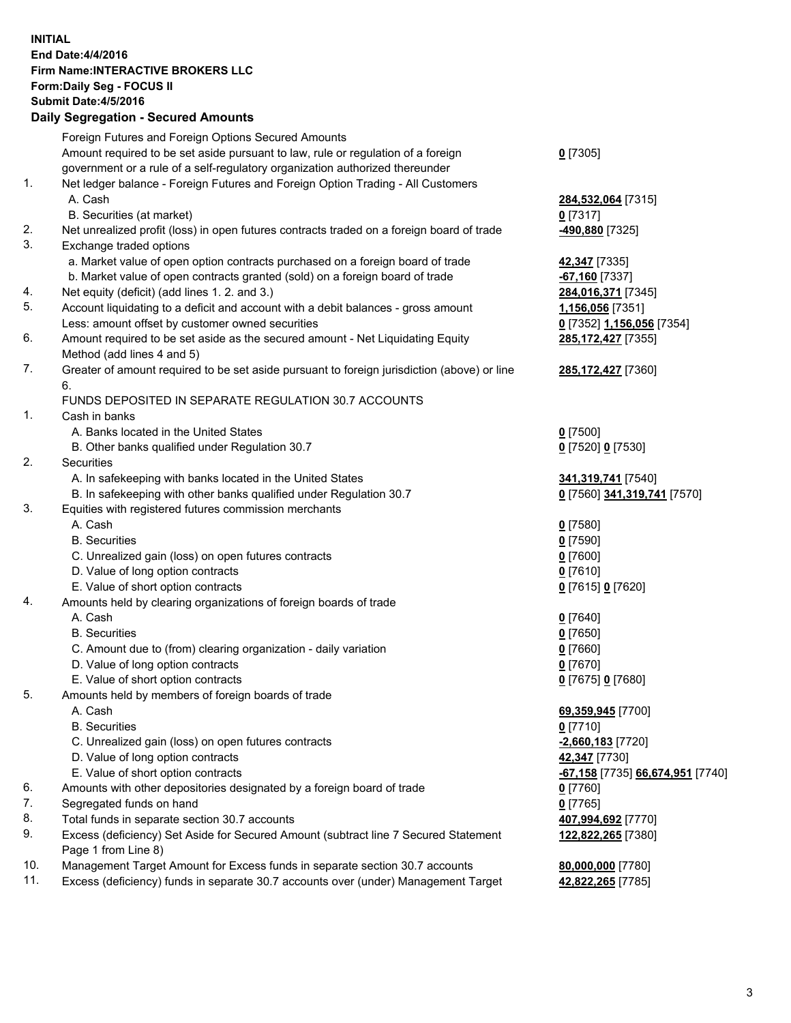## **INITIAL End Date:4/4/2016 Firm Name:INTERACTIVE BROKERS LLC Form:Daily Seg - FOCUS II Submit Date:4/5/2016 Daily Segregation - Secured Amounts**

|     | Foreign Futures and Foreign Options Secured Amounts                                         |                                  |
|-----|---------------------------------------------------------------------------------------------|----------------------------------|
|     | Amount required to be set aside pursuant to law, rule or regulation of a foreign            | $0$ [7305]                       |
|     | government or a rule of a self-regulatory organization authorized thereunder                |                                  |
| 1.  | Net ledger balance - Foreign Futures and Foreign Option Trading - All Customers             |                                  |
|     | A. Cash                                                                                     | 284,532,064 [7315]               |
|     | B. Securities (at market)                                                                   | $0$ [7317]                       |
| 2.  | Net unrealized profit (loss) in open futures contracts traded on a foreign board of trade   | -490,880 [7325]                  |
| 3.  | Exchange traded options                                                                     |                                  |
|     | a. Market value of open option contracts purchased on a foreign board of trade              | 42,347 [7335]                    |
|     | b. Market value of open contracts granted (sold) on a foreign board of trade                | $-67,160$ [7337]                 |
| 4.  | Net equity (deficit) (add lines 1. 2. and 3.)                                               | 284,016,371 [7345]               |
| 5.  | Account liquidating to a deficit and account with a debit balances - gross amount           | 1,156,056 [7351]                 |
|     | Less: amount offset by customer owned securities                                            |                                  |
| 6.  |                                                                                             | 0 [7352] 1,156,056 [7354]        |
|     | Amount required to be set aside as the secured amount - Net Liquidating Equity              | 285, 172, 427 [7355]             |
|     | Method (add lines 4 and 5)                                                                  |                                  |
| 7.  | Greater of amount required to be set aside pursuant to foreign jurisdiction (above) or line | 285, 172, 427 [7360]             |
|     | 6.                                                                                          |                                  |
|     | FUNDS DEPOSITED IN SEPARATE REGULATION 30.7 ACCOUNTS                                        |                                  |
| 1.  | Cash in banks                                                                               |                                  |
|     | A. Banks located in the United States                                                       | $0$ [7500]                       |
|     | B. Other banks qualified under Regulation 30.7                                              | 0 [7520] 0 [7530]                |
| 2.  | Securities                                                                                  |                                  |
|     | A. In safekeeping with banks located in the United States                                   | 341,319,741 [7540]               |
|     | B. In safekeeping with other banks qualified under Regulation 30.7                          | 0 [7560] 341,319,741 [7570]      |
| 3.  | Equities with registered futures commission merchants                                       |                                  |
|     | A. Cash                                                                                     | $0$ [7580]                       |
|     | <b>B.</b> Securities                                                                        | $0$ [7590]                       |
|     | C. Unrealized gain (loss) on open futures contracts                                         | $0$ [7600]                       |
|     | D. Value of long option contracts                                                           | $0$ [7610]                       |
|     | E. Value of short option contracts                                                          | 0 [7615] 0 [7620]                |
| 4.  | Amounts held by clearing organizations of foreign boards of trade                           |                                  |
|     | A. Cash                                                                                     | $0$ [7640]                       |
|     | <b>B.</b> Securities                                                                        | $0$ [7650]                       |
|     | C. Amount due to (from) clearing organization - daily variation                             | $0$ [7660]                       |
|     | D. Value of long option contracts                                                           | $0$ [7670]                       |
|     | E. Value of short option contracts                                                          | 0 [7675] 0 [7680]                |
| 5.  | Amounts held by members of foreign boards of trade                                          |                                  |
|     | A. Cash                                                                                     | 69,359,945 [7700]                |
|     | <b>B.</b> Securities                                                                        | $0$ [7710]                       |
|     | C. Unrealized gain (loss) on open futures contracts                                         | $-2,660,183$ [7720]              |
|     | D. Value of long option contracts                                                           | 42,347 [7730]                    |
|     | E. Value of short option contracts                                                          | -67,158 [7735] 66,674,951 [7740] |
| 6.  | Amounts with other depositories designated by a foreign board of trade                      | $0$ [7760]                       |
| 7.  | Segregated funds on hand                                                                    | $0$ [7765]                       |
| 8.  | Total funds in separate section 30.7 accounts                                               | 407,994,692 [7770]               |
| 9.  | Excess (deficiency) Set Aside for Secured Amount (subtract line 7 Secured Statement         | 122,822,265 [7380]               |
|     | Page 1 from Line 8)                                                                         |                                  |
| 10. | Management Target Amount for Excess funds in separate section 30.7 accounts                 | 80,000,000 [7780]                |
| 11. | Excess (deficiency) funds in separate 30.7 accounts over (under) Management Target          | 42,822,265 [7785]                |
|     |                                                                                             |                                  |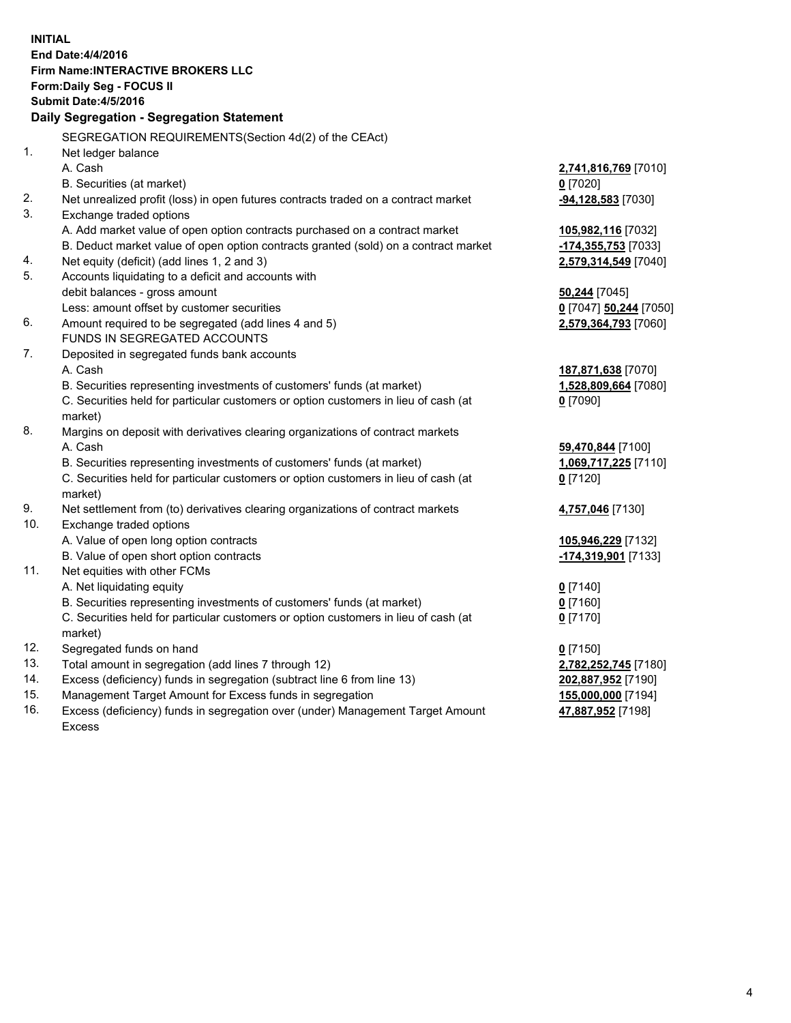**INITIAL End Date:4/4/2016 Firm Name:INTERACTIVE BROKERS LLC Form:Daily Seg - FOCUS II Submit Date:4/5/2016 Daily Segregation - Segregation Statement** SEGREGATION REQUIREMENTS(Section 4d(2) of the CEAct) 1. Net ledger balance A. Cash **2,741,816,769** [7010] B. Securities (at market) **0** [7020] 2. Net unrealized profit (loss) in open futures contracts traded on a contract market **-94,128,583** [7030] 3. Exchange traded options A. Add market value of open option contracts purchased on a contract market **105,982,116** [7032] B. Deduct market value of open option contracts granted (sold) on a contract market **-174,355,753** [7033] 4. Net equity (deficit) (add lines 1, 2 and 3) **2,579,314,549** [7040] 5. Accounts liquidating to a deficit and accounts with debit balances - gross amount **50,244** [7045] Less: amount offset by customer securities **0** [7047] **50,244** [7050] 6. Amount required to be segregated (add lines 4 and 5) **2,579,364,793** [7060] FUNDS IN SEGREGATED ACCOUNTS 7. Deposited in segregated funds bank accounts A. Cash **187,871,638** [7070] B. Securities representing investments of customers' funds (at market) **1,528,809,664** [7080] C. Securities held for particular customers or option customers in lieu of cash (at market) **0** [7090] 8. Margins on deposit with derivatives clearing organizations of contract markets A. Cash **59,470,844** [7100] B. Securities representing investments of customers' funds (at market) **1,069,717,225** [7110] C. Securities held for particular customers or option customers in lieu of cash (at market) **0** [7120] 9. Net settlement from (to) derivatives clearing organizations of contract markets **4,757,046** [7130] 10. Exchange traded options A. Value of open long option contracts **105,946,229** [7132] B. Value of open short option contracts **-174,319,901** [7133] 11. Net equities with other FCMs A. Net liquidating equity **0** [7140] B. Securities representing investments of customers' funds (at market) **0** [7160] C. Securities held for particular customers or option customers in lieu of cash (at market) **0** [7170] 12. Segregated funds on hand **0** [7150] 13. Total amount in segregation (add lines 7 through 12) **2,782,252,745** [7180] 14. Excess (deficiency) funds in segregation (subtract line 6 from line 13) **202,887,952** [7190] 15. Management Target Amount for Excess funds in segregation **155,000,000** [7194] 16. Excess (deficiency) funds in segregation over (under) Management Target Amount **47,887,952** [7198]

Excess